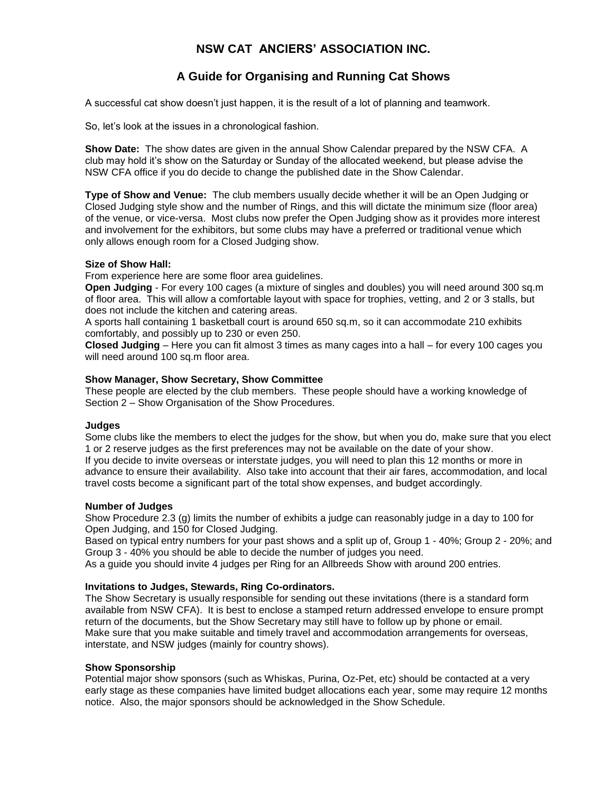# **NSW CAT ANCIERS' ASSOCIATION INC.**

# **A Guide for Organising and Running Cat Shows**

A successful cat show doesn't just happen, it is the result of a lot of planning and teamwork.

So, let's look at the issues in a chronological fashion.

**Show Date:** The show dates are given in the annual Show Calendar prepared by the NSW CFA. A club may hold it's show on the Saturday or Sunday of the allocated weekend, but please advise the NSW CFA office if you do decide to change the published date in the Show Calendar.

**Type of Show and Venue:** The club members usually decide whether it will be an Open Judging or Closed Judging style show and the number of Rings, and this will dictate the minimum size (floor area) of the venue, or vice-versa. Most clubs now prefer the Open Judging show as it provides more interest and involvement for the exhibitors, but some clubs may have a preferred or traditional venue which only allows enough room for a Closed Judging show.

## **Size of Show Hall:**

From experience here are some floor area guidelines.

**Open Judging** - For every 100 cages (a mixture of singles and doubles) you will need around 300 sq.m of floor area. This will allow a comfortable layout with space for trophies, vetting, and 2 or 3 stalls, but does not include the kitchen and catering areas.

A sports hall containing 1 basketball court is around 650 sq.m, so it can accommodate 210 exhibits comfortably, and possibly up to 230 or even 250.

**Closed Judging** – Here you can fit almost 3 times as many cages into a hall – for every 100 cages you will need around 100 sq.m floor area.

# **Show Manager, Show Secretary, Show Committee**

These people are elected by the club members. These people should have a working knowledge of Section 2 – Show Organisation of the Show Procedures.

#### **Judges**

Some clubs like the members to elect the judges for the show, but when you do, make sure that you elect 1 or 2 reserve judges as the first preferences may not be available on the date of your show. If you decide to invite overseas or interstate judges, you will need to plan this 12 months or more in advance to ensure their availability. Also take into account that their air fares, accommodation, and local travel costs become a significant part of the total show expenses, and budget accordingly.

#### **Number of Judges**

Show Procedure 2.3 (g) limits the number of exhibits a judge can reasonably judge in a day to 100 for Open Judging, and 150 for Closed Judging.

Based on typical entry numbers for your past shows and a split up of, Group 1 - 40%; Group 2 - 20%; and Group 3 - 40% you should be able to decide the number of judges you need.

As a guide you should invite 4 judges per Ring for an Allbreeds Show with around 200 entries.

# **Invitations to Judges, Stewards, Ring Co-ordinators.**

The Show Secretary is usually responsible for sending out these invitations (there is a standard form available from NSW CFA). It is best to enclose a stamped return addressed envelope to ensure prompt return of the documents, but the Show Secretary may still have to follow up by phone or email. Make sure that you make suitable and timely travel and accommodation arrangements for overseas, interstate, and NSW judges (mainly for country shows).

# **Show Sponsorship**

Potential major show sponsors (such as Whiskas, Purina, Oz-Pet, etc) should be contacted at a very early stage as these companies have limited budget allocations each year, some may require 12 months notice. Also, the major sponsors should be acknowledged in the Show Schedule.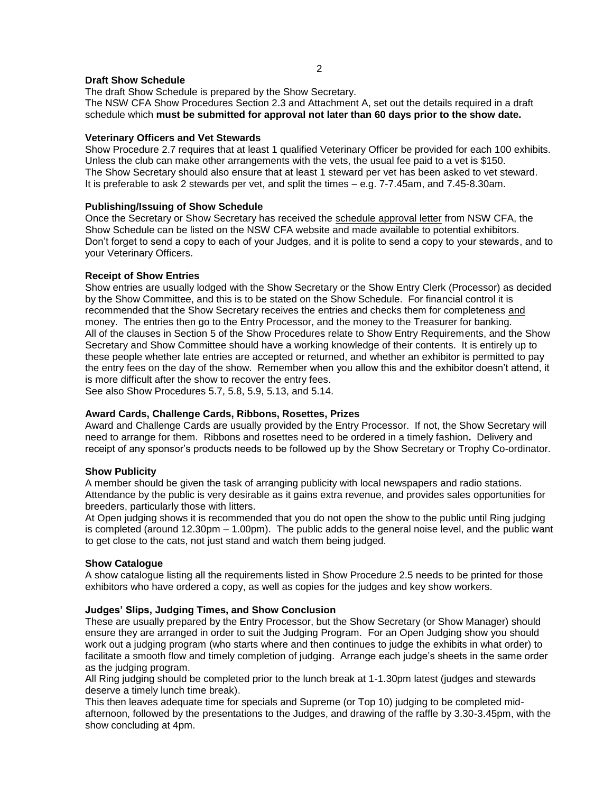# **Draft Show Schedule**

The draft Show Schedule is prepared by the Show Secretary. The NSW CFA Show Procedures Section 2.3 and Attachment A, set out the details required in a draft schedule which **must be submitted for approval not later than 60 days prior to the show date.**

## **Veterinary Officers and Vet Stewards**

Show Procedure 2.7 requires that at least 1 qualified Veterinary Officer be provided for each 100 exhibits. Unless the club can make other arrangements with the vets, the usual fee paid to a vet is \$150. The Show Secretary should also ensure that at least 1 steward per vet has been asked to vet steward. It is preferable to ask 2 stewards per vet, and split the times – e.g. 7-7.45am, and 7.45-8.30am.

## **Publishing/Issuing of Show Schedule**

Once the Secretary or Show Secretary has received the schedule approval letter from NSW CFA, the Show Schedule can be listed on the NSW CFA website and made available to potential exhibitors. Don't forget to send a copy to each of your Judges, and it is polite to send a copy to your stewards, and to your Veterinary Officers.

## **Receipt of Show Entries**

Show entries are usually lodged with the Show Secretary or the Show Entry Clerk (Processor) as decided by the Show Committee, and this is to be stated on the Show Schedule. For financial control it is recommended that the Show Secretary receives the entries and checks them for completeness and money. The entries then go to the Entry Processor, and the money to the Treasurer for banking. All of the clauses in Section 5 of the Show Procedures relate to Show Entry Requirements, and the Show Secretary and Show Committee should have a working knowledge of their contents. It is entirely up to these people whether late entries are accepted or returned, and whether an exhibitor is permitted to pay the entry fees on the day of the show. Remember when you allow this and the exhibitor doesn't attend, it is more difficult after the show to recover the entry fees.

See also Show Procedures 5.7, 5.8, 5.9, 5.13, and 5.14.

#### **Award Cards, Challenge Cards, Ribbons, Rosettes, Prizes**

Award and Challenge Cards are usually provided by the Entry Processor. If not, the Show Secretary will need to arrange for them.Ribbons and rosettes need to be ordered in a timely fashion**.** Delivery and receipt of any sponsor's products needs to be followed up by the Show Secretary or Trophy Co-ordinator.

#### **Show Publicity**

A member should be given the task of arranging publicity with local newspapers and radio stations. Attendance by the public is very desirable as it gains extra revenue, and provides sales opportunities for breeders, particularly those with litters.

At Open judging shows it is recommended that you do not open the show to the public until Ring judging is completed (around 12.30pm – 1.00pm). The public adds to the general noise level, and the public want to get close to the cats, not just stand and watch them being judged.

#### **Show Catalogue**

A show catalogue listing all the requirements listed in Show Procedure 2.5 needs to be printed for those exhibitors who have ordered a copy, as well as copies for the judges and key show workers.

#### **Judges' Slips, Judging Times, and Show Conclusion**

These are usually prepared by the Entry Processor, but the Show Secretary (or Show Manager) should ensure they are arranged in order to suit the Judging Program. For an Open Judging show you should work out a judging program (who starts where and then continues to judge the exhibits in what order) to facilitate a smooth flow and timely completion of judging. Arrange each judge's sheets in the same order as the judging program.

All Ring judging should be completed prior to the lunch break at 1-1.30pm latest (judges and stewards deserve a timely lunch time break).

This then leaves adequate time for specials and Supreme (or Top 10) judging to be completed midafternoon, followed by the presentations to the Judges, and drawing of the raffle by 3.30-3.45pm, with the show concluding at 4pm.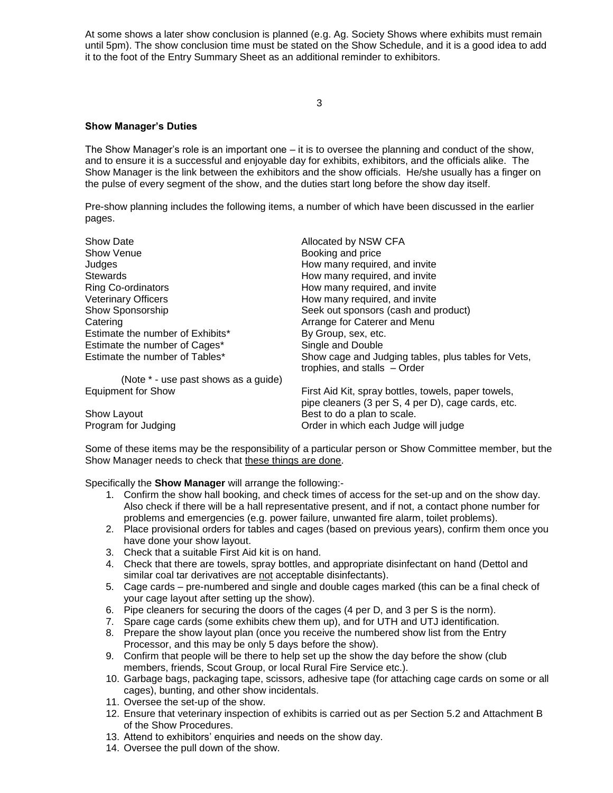At some shows a later show conclusion is planned (e.g. Ag. Society Shows where exhibits must remain until 5pm). The show conclusion time must be stated on the Show Schedule, and it is a good idea to add it to the foot of the Entry Summary Sheet as an additional reminder to exhibitors.

3

# **Show Manager's Duties**

The Show Manager's role is an important one – it is to oversee the planning and conduct of the show, and to ensure it is a successful and enjoyable day for exhibits, exhibitors, and the officials alike. The Show Manager is the link between the exhibitors and the show officials. He/she usually has a finger on the pulse of every segment of the show, and the duties start long before the show day itself.

Pre-show planning includes the following items, a number of which have been discussed in the earlier pages.

| Show Date                            | Allocated by NSW CFA                                                                                      |
|--------------------------------------|-----------------------------------------------------------------------------------------------------------|
| Show Venue                           | Booking and price                                                                                         |
| Judges                               | How many required, and invite                                                                             |
| <b>Stewards</b>                      | How many required, and invite                                                                             |
| <b>Ring Co-ordinators</b>            | How many required, and invite                                                                             |
| <b>Veterinary Officers</b>           | How many required, and invite                                                                             |
| Show Sponsorship                     | Seek out sponsors (cash and product)                                                                      |
| Catering                             | Arrange for Caterer and Menu                                                                              |
| Estimate the number of Exhibits*     | By Group, sex, etc.                                                                                       |
| Estimate the number of Cages*        | Single and Double                                                                                         |
| Estimate the number of Tables*       | Show cage and Judging tables, plus tables for Vets,<br>trophies, and stalls - Order                       |
| (Note * - use past shows as a guide) |                                                                                                           |
| <b>Equipment for Show</b>            | First Aid Kit, spray bottles, towels, paper towels,<br>pipe cleaners (3 per S, 4 per D), cage cards, etc. |
| Show Layout                          | Best to do a plan to scale.                                                                               |
| Program for Judging                  | Order in which each Judge will judge                                                                      |

Some of these items may be the responsibility of a particular person or Show Committee member, but the Show Manager needs to check that these things are done.

Specifically the **Show Manager** will arrange the following:-

- 1. Confirm the show hall booking, and check times of access for the set-up and on the show day. Also check if there will be a hall representative present, and if not, a contact phone number for problems and emergencies (e.g. power failure, unwanted fire alarm, toilet problems).
- 2. Place provisional orders for tables and cages (based on previous years), confirm them once you have done your show layout.
- 3. Check that a suitable First Aid kit is on hand.
- 4. Check that there are towels, spray bottles, and appropriate disinfectant on hand (Dettol and similar coal tar derivatives are not acceptable disinfectants).
- 5. Cage cards pre-numbered and single and double cages marked (this can be a final check of your cage layout after setting up the show).
- 6. Pipe cleaners for securing the doors of the cages (4 per D, and 3 per S is the norm).
- 7. Spare cage cards (some exhibits chew them up), and for UTH and UTJ identification.
- 8. Prepare the show layout plan (once you receive the numbered show list from the Entry Processor, and this may be only 5 days before the show).
- 9. Confirm that people will be there to help set up the show the day before the show (club members, friends, Scout Group, or local Rural Fire Service etc.).
- 10. Garbage bags, packaging tape, scissors, adhesive tape (for attaching cage cards on some or all cages), bunting, and other show incidentals.
- 11. Oversee the set-up of the show.
- 12. Ensure that veterinary inspection of exhibits is carried out as per Section 5.2 and Attachment B of the Show Procedures.
- 13. Attend to exhibitors' enquiries and needs on the show day.
- 14. Oversee the pull down of the show.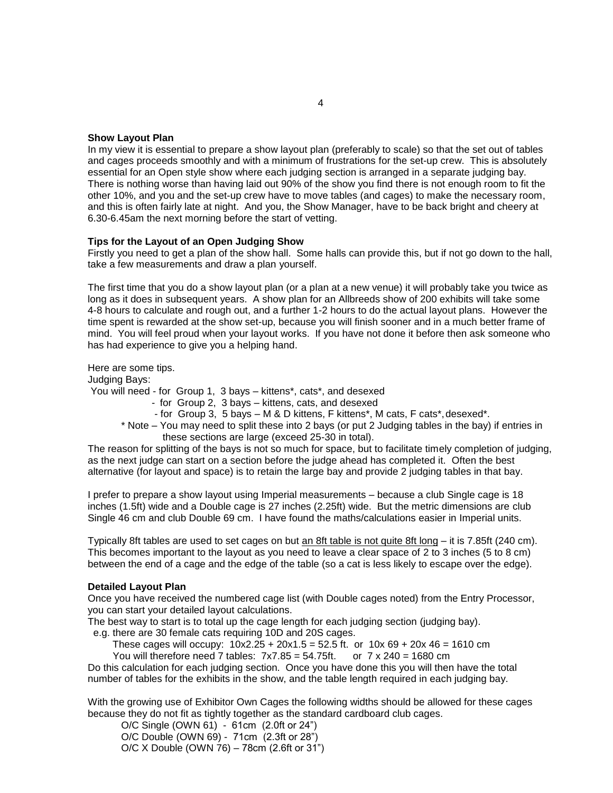## **Show Layout Plan**

In my view it is essential to prepare a show layout plan (preferably to scale) so that the set out of tables and cages proceeds smoothly and with a minimum of frustrations for the set-up crew. This is absolutely essential for an Open style show where each judging section is arranged in a separate judging bay. There is nothing worse than having laid out 90% of the show you find there is not enough room to fit the other 10%, and you and the set-up crew have to move tables (and cages) to make the necessary room, and this is often fairly late at night. And you, the Show Manager, have to be back bright and cheery at 6.30-6.45am the next morning before the start of vetting.

#### **Tips for the Layout of an Open Judging Show**

Firstly you need to get a plan of the show hall. Some halls can provide this, but if not go down to the hall, take a few measurements and draw a plan yourself.

The first time that you do a show layout plan (or a plan at a new venue) it will probably take you twice as long as it does in subsequent years. A show plan for an Allbreeds show of 200 exhibits will take some 4-8 hours to calculate and rough out, and a further 1-2 hours to do the actual layout plans. However the time spent is rewarded at the show set-up, because you will finish sooner and in a much better frame of mind. You will feel proud when your layout works. If you have not done it before then ask someone who has had experience to give you a helping hand.

Here are some tips.

Judging Bays:

You will need - for Group 1, 3 bays – kittens\*, cats\*, and desexed

- for Group 2, 3 bays kittens, cats, and desexed
- for Group 3, 5 bays M & D kittens, F kittens\*, M cats, F cats\*,desexed\*.
- \* Note You may need to split these into 2 bays (or put 2 Judging tables in the bay) if entries in these sections are large (exceed 25-30 in total).

The reason for splitting of the bays is not so much for space, but to facilitate timely completion of judging, as the next judge can start on a section before the judge ahead has completed it. Often the best alternative (for layout and space) is to retain the large bay and provide 2 judging tables in that bay.

I prefer to prepare a show layout using Imperial measurements – because a club Single cage is 18 inches (1.5ft) wide and a Double cage is 27 inches (2.25ft) wide. But the metric dimensions are club Single 46 cm and club Double 69 cm. I have found the maths/calculations easier in Imperial units.

Typically 8ft tables are used to set cages on but an 8ft table is not quite 8ft long – it is 7.85ft (240 cm). This becomes important to the layout as you need to leave a clear space of 2 to 3 inches (5 to 8 cm) between the end of a cage and the edge of the table (so a cat is less likely to escape over the edge).

#### **Detailed Layout Plan**

Once you have received the numbered cage list (with Double cages noted) from the Entry Processor, you can start your detailed layout calculations.

The best way to start is to total up the cage length for each judging section (judging bay).

e.g. there are 30 female cats requiring 10D and 20S cages.

These cages will occupy:  $10x2.25 + 20x1.5 = 52.5$  ft. or  $10x 69 + 20x 46 = 1610$  cm You will therefore need 7 tables:  $7x7.85 = 54.75$ ft. or  $7 \times 240 = 1680$  cm

Do this calculation for each judging section. Once you have done this you will then have the total number of tables for the exhibits in the show, and the table length required in each judging bay.

With the growing use of Exhibitor Own Cages the following widths should be allowed for these cages because they do not fit as tightly together as the standard cardboard club cages.

O/C Single (OWN 61) - 61cm (2.0ft or 24") O/C Double (OWN 69) - 71cm (2.3ft or 28") O/C X Double (OWN 76) – 78cm (2.6ft or 31")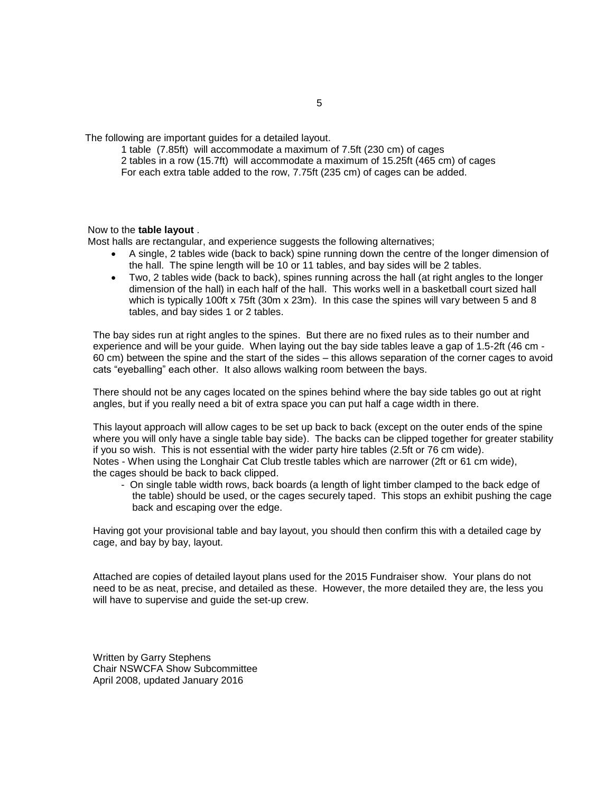The following are important guides for a detailed layout.

1 table (7.85ft) will accommodate a maximum of 7.5ft (230 cm) of cages 2 tables in a row (15.7ft) will accommodate a maximum of 15.25ft (465 cm) of cages For each extra table added to the row, 7.75ft (235 cm) of cages can be added.

## Now to the **table layout** .

Most halls are rectangular, and experience suggests the following alternatives;

- A single, 2 tables wide (back to back) spine running down the centre of the longer dimension of the hall. The spine length will be 10 or 11 tables, and bay sides will be 2 tables.
- Two, 2 tables wide (back to back), spines running across the hall (at right angles to the longer dimension of the hall) in each half of the hall. This works well in a basketball court sized hall which is typically 100ft x 75ft (30m x 23m). In this case the spines will vary between 5 and 8 tables, and bay sides 1 or 2 tables.

The bay sides run at right angles to the spines. But there are no fixed rules as to their number and experience and will be your guide. When laying out the bay side tables leave a gap of 1.5-2ft (46 cm - 60 cm) between the spine and the start of the sides – this allows separation of the corner cages to avoid cats "eyeballing" each other. It also allows walking room between the bays.

There should not be any cages located on the spines behind where the bay side tables go out at right angles, but if you really need a bit of extra space you can put half a cage width in there.

This layout approach will allow cages to be set up back to back (except on the outer ends of the spine where you will only have a single table bay side). The backs can be clipped together for greater stability if you so wish. This is not essential with the wider party hire tables (2.5ft or 76 cm wide). Notes - When using the Longhair Cat Club trestle tables which are narrower (2ft or 61 cm wide), the cages should be back to back clipped.

- On single table width rows, back boards (a length of light timber clamped to the back edge of the table) should be used, or the cages securely taped. This stops an exhibit pushing the cage back and escaping over the edge.

Having got your provisional table and bay layout, you should then confirm this with a detailed cage by cage, and bay by bay, layout.

Attached are copies of detailed layout plans used for the 2015 Fundraiser show. Your plans do not need to be as neat, precise, and detailed as these. However, the more detailed they are, the less you will have to supervise and guide the set-up crew.

Written by Garry Stephens Chair NSWCFA Show Subcommittee April 2008, updated January 2016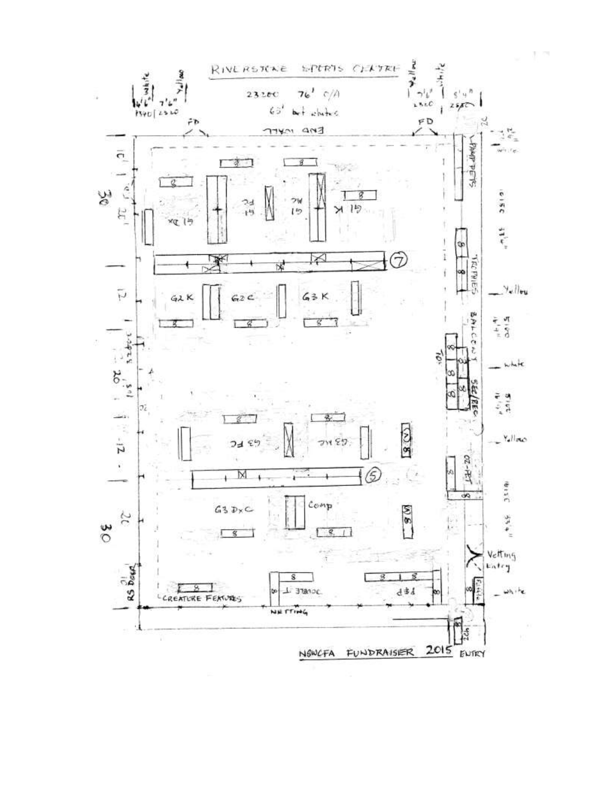